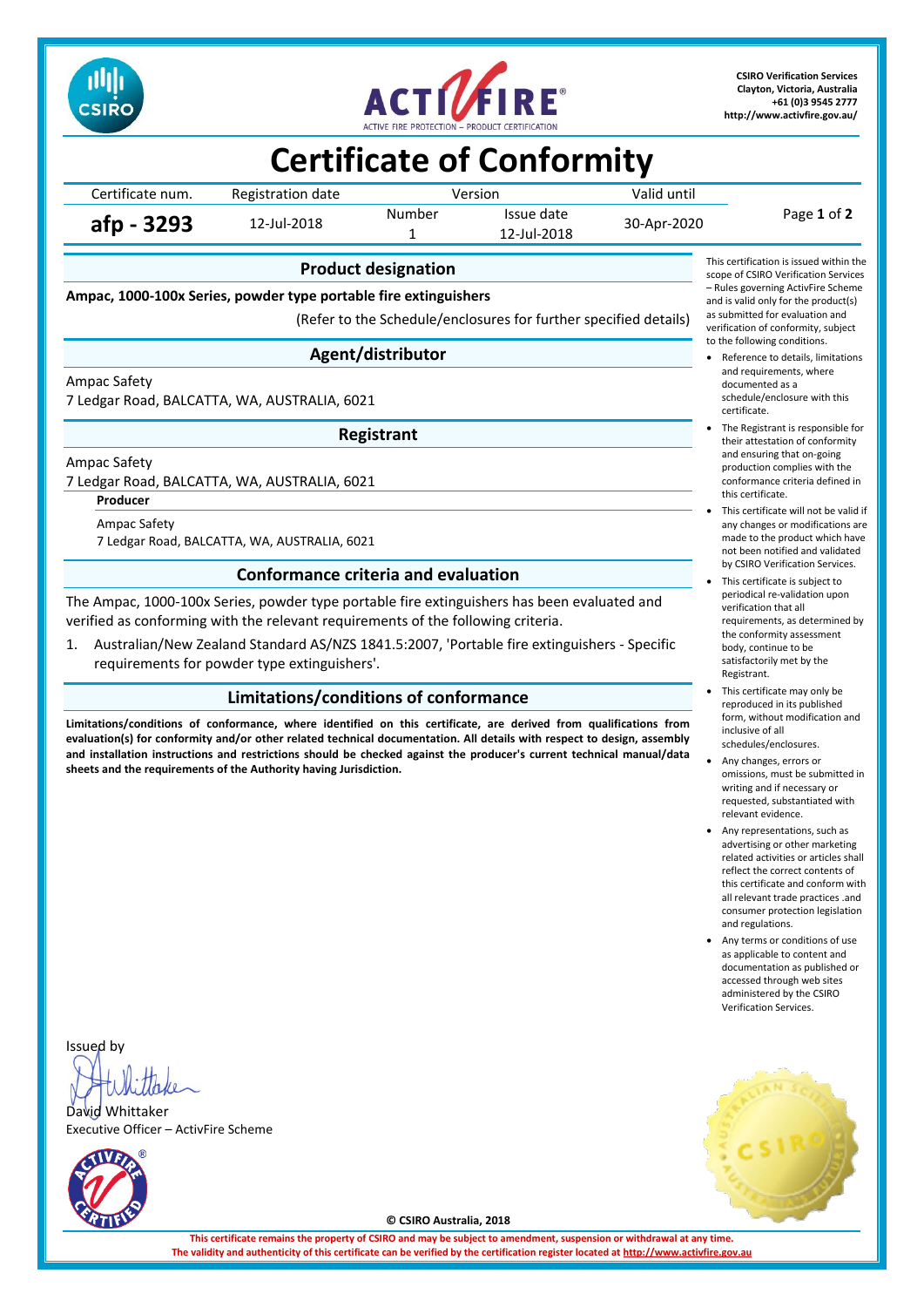



**CSIRO Verification Services Clayton, Victoria, Australia +61 (0)3 9545 2777 <http://www.activfire.gov.au/>**

# **Certificate of Conformity**

Certificate num. Registration date Version Version Valid until Page **1** of **2 afp - 3293** 12-Jul-2018 Number Issue date 30-Apr-2020<br>1 12-Jul-2018 12-Jul-2018

**Product designation**

**Ampac, 1000-100x Series, powder type portable fire extinguishers**

(Refer to the Schedule/enclosures for further specified details)

## **Agent/distributor**

Ampac Safety

7 Ledgar Road, BALCATTA, WA, AUSTRALIA, 6021

**Registrant**

Ampac Safety

7 Ledgar Road, BALCATTA, WA, AUSTRALIA, 6021

**Producer**

Ampac Safety 7 Ledgar Road, BALCATTA, WA, AUSTRALIA, 6021

### **Conformance criteria and evaluation**

The Ampac, 1000-100x Series, powder type portable fire extinguishers has been evaluated and verified as conforming with the relevant requirements of the following criteria.

1. Australian/New Zealand Standard AS/NZS 1841.5:2007, 'Portable fire extinguishers - Specific requirements for powder type extinguishers'.

## **Limitations/conditions of conformance**

**Limitations/conditions of conformance, where identified on this certificate, are derived from qualifications from evaluation(s) for conformity and/or other related technical documentation. All details with respect to design, assembly and installation instructions and restrictions should be checked against the producer's current technical manual/data sheets and the requirements of the Authority having Jurisdiction.**



- Reference to details, limitations and requirements, where documented as a schedule/enclosure with this certificate.
- The Registrant is responsible for their attestation of conformity and ensuring that on-going production complies with the conformance criteria defined in this certificate.
- This certificate will not be valid if any changes or modifications are made to the product which have not been notified and validated by CSIRO Verification Services.
- This certificate is subject to periodical re-validation upon verification that all requirements, as determined by the conformity assessment body, continue to be satisfactorily met by the Registrant.
- This certificate may only be reproduced in its published form, without modification and inclusive of all schedules/enclosures.
- Any changes, errors or omissions, must be submitted in writing and if necessary or requested, substantiated with relevant evidence.
- Any representations, such as advertising or other marketing related activities or articles shall reflect the correct contents of this certificate and conform with all relevant trade practices .and consumer protection legislation and regulations.
- Any terms or conditions of use as applicable to content and documentation as published or accessed through web sites administered by the CSIRO Verification Services.

Issued by

David Whittaker Executive Officer – ActivFire Scheme





**© CSIRO Australia, 2018**

**This certificate remains the property of CSIRO and may be subject to amendment, suspension or withdrawal at any time.** The validity and authenticity of this certificate can be verified by the certification register located at http://www.activ